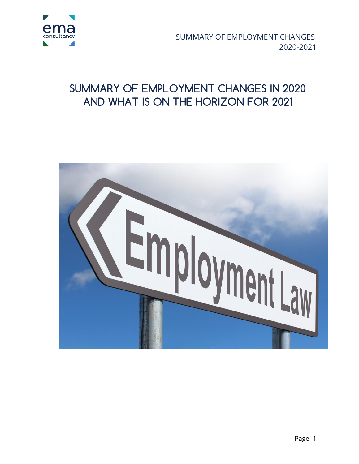

 SUMMARY OF EMPLOYMENT CHANGES 2020-2021

### **SUMMARY OF EMPLOYMENT CHANGES IN 2020 AND WHAT IS ON THE HORIZON FOR 2021**

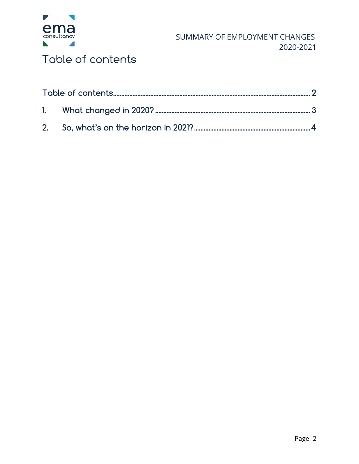

### <span id="page-1-0"></span>Table of contents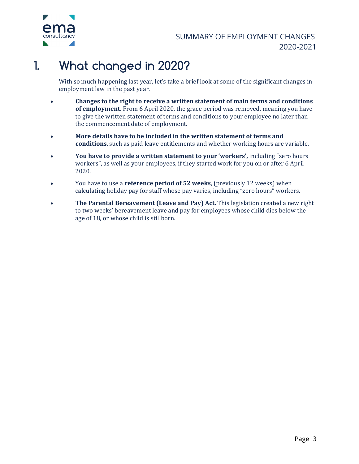

# <span id="page-2-0"></span>**1. What changed in 2020?**

With so much happening last year, let's take a brief look at some of the significant changes in employment law in the past year.

- **Changes to the right to receive a written statement of main terms and conditions of employment.** From 6 April 2020, the grace period was removed, meaning you have to give the written statement of terms and conditions to your employee no later than the commencement date of employment.
- **More details have to be included in the written statement of terms and conditions**, such as paid leave entitlements and whether working hours are variable.
- **You have to provide a written statement to your 'workers',** including "zero hours workers", as well as your employees, if they started work for you on or after 6 April 2020.
- You have to use a **reference period of 52 weeks**, (previously 12 weeks) when calculating holiday pay for staff whose pay varies, including "zero hours" workers.
- **The Parental Bereavement (Leave and Pay) Act.** This legislation created a new right to two weeks' bereavement leave and pay for employees whose child dies below the age of 18, or whose child is stillborn.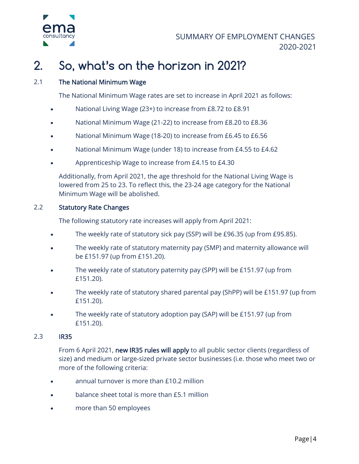

# <span id="page-3-0"></span>**2. So, what's on the horizon in 2021?**

#### 2.1 The National Minimum Wage

The National Minimum Wage rates are set to increase in April 2021 as follows:

- National Living Wage (23+) to increase from £8.72 to £8.91
- National Minimum Wage (21-22) to increase from £8.20 to £8.36
- National Minimum Wage (18-20) to increase from £6.45 to £6.56
- National Minimum Wage (under 18) to increase from £4.55 to £4.62
- Apprenticeship Wage to increase from £4.15 to £4.30

Additionally, from April 2021, the age threshold for the National Living Wage is lowered from 25 to 23. To reflect this, the 23-24 age category for the National Minimum Wage will be abolished.

#### 2.2 Statutory Rate Changes

The following statutory rate increases will apply from April 2021:

- The weekly rate of statutory sick pay (SSP) will be £96.35 (up from £95.85).
- The weekly rate of statutory maternity pay (SMP) and maternity allowance will be £151.97 (up from £151.20).
- The weekly rate of statutory paternity pay (SPP) will be £151.97 (up from £151.20).
- The weekly rate of statutory shared parental pay (ShPP) will be £151.97 (up from £151.20).
- The weekly rate of statutory adoption pay (SAP) will be £151.97 (up from £151.20).

#### 2.3 IR35

From 6 April 2021, [new IR35 rules will apply](https://www.fsb.org.uk/resources-page/ir35-in-five.html) to all public sector clients (regardless of size) and medium or large-sized private sector businesses (i.e. those who meet two or more of the following criteria:

- annual turnover is more than £10.2 million
- balance sheet total is more than £5.1 million
- more than 50 employees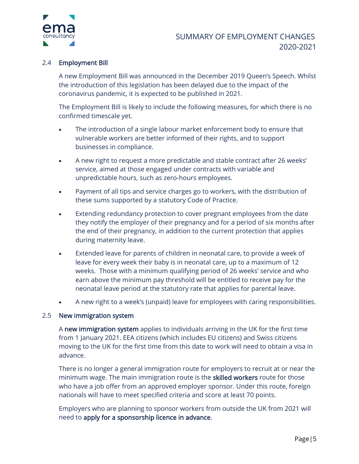

#### 2.4 Employment Bill

A new Employment Bill was announced in the December 2019 Queen's Speech. Whilst the introduction of this legislation has been delayed due to the impact of the coronavirus pandemic, it is expected to be published in 2021.

The Employment Bill is likely to include the following measures, for which there is no confirmed timescale yet.

- The introduction of a single labour market enforcement body to ensure that vulnerable workers are better informed of their rights, and to support businesses in compliance.
- A new right to request a more predictable and stable contract after 26 weeks' service, aimed at those engaged under contracts with variable and unpredictable hours, such as zero-hours employees.
- Payment of all tips and service charges go to workers, with the distribution of these sums supported by a statutory Code of Practice.
- Extending redundancy protection to cover pregnant employees from the date they notify the employer of their pregnancy and for a period of six months after the end of their pregnancy, in addition to the current protection that applies during maternity leave.
- Extended leave for parents of children in neonatal care, to provide a week of leave for every week their baby is in neonatal care, up to a maximum of 12 weeks. Those with a minimum qualifying period of 26 weeks' service and who earn above the minimum pay threshold will be entitled to receive pay for the neonatal leave period at the statutory rate that applies for parental leave.
- A new right to a week's (unpaid) leave for employees with caring responsibilities.

#### 2.5 New immigration system

A [new immigration system](https://www.gov.uk/guidance/new-immigration-system-what-you-need-to-know) applies to individuals arriving in the UK for the first time from 1 January 2021. EEA citizens (which includes EU citizens) and Swiss citizens moving to the UK for the first time from this date to work will need to obtain a visa in advance.

There is no longer a general immigration route for employers to recruit at or near the minimum wage. The main immigration route is the **skilled workers** route for those who have a job offer from an approved employer sponsor. Under this route, foreign nationals will have to meet specified criteria and score at least 70 points.

Employers who are planning to sponsor workers from outside the UK from 2021 will need to [apply for a sponsorship licence in advance.](https://www.gov.uk/government/publications/uk-points-based-immigration-system-employer-information)